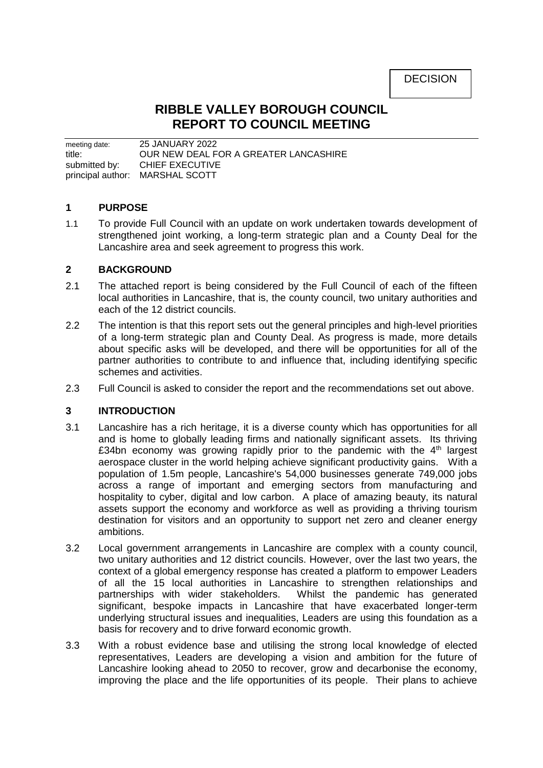DECISION

# **RIBBLE VALLEY BOROUGH COUNCIL REPORT TO COUNCIL MEETING**

meeting date: 25 JANUARY 2022 title: OUR NEW DEAL FOR A GREATER LANCASHIRE submitted by: CHIEF EXECUTIVE principal author: MARSHAL SCOTT

# **1 PURPOSE**

1.1 To provide Full Council with an update on work undertaken towards development of strengthened joint working, a long-term strategic plan and a County Deal for the Lancashire area and seek agreement to progress this work.

# **2 BACKGROUND**

- 2.1 The attached report is being considered by the Full Council of each of the fifteen local authorities in Lancashire, that is, the county council, two unitary authorities and each of the 12 district councils.
- 2.2 The intention is that this report sets out the general principles and high-level priorities of a long-term strategic plan and County Deal. As progress is made, more details about specific asks will be developed, and there will be opportunities for all of the partner authorities to contribute to and influence that, including identifying specific schemes and activities.
- 2.3 Full Council is asked to consider the report and the recommendations set out above.

# **3 INTRODUCTION**

- 3.1 Lancashire has a rich heritage, it is a diverse county which has opportunities for all and is home to globally leading firms and nationally significant assets. Its thriving £34bn economy was growing rapidly prior to the pandemic with the  $4<sup>th</sup>$  largest aerospace cluster in the world helping achieve significant productivity gains. With a population of 1.5m people, Lancashire's 54,000 businesses generate 749,000 jobs across a range of important and emerging sectors from manufacturing and hospitality to cyber, digital and low carbon. A place of amazing beauty, its natural assets support the economy and workforce as well as providing a thriving tourism destination for visitors and an opportunity to support net zero and cleaner energy ambitions.
- 3.2 Local government arrangements in Lancashire are complex with a county council, two unitary authorities and 12 district councils. However, over the last two years, the context of a global emergency response has created a platform to empower Leaders of all the 15 local authorities in Lancashire to strengthen relationships and partnerships with wider stakeholders. Whilst the pandemic has generated significant, bespoke impacts in Lancashire that have exacerbated longer-term underlying structural issues and inequalities, Leaders are using this foundation as a basis for recovery and to drive forward economic growth.
- 3.3 With a robust evidence base and utilising the strong local knowledge of elected representatives, Leaders are developing a vision and ambition for the future of Lancashire looking ahead to 2050 to recover, grow and decarbonise the economy, improving the place and the life opportunities of its people. Their plans to achieve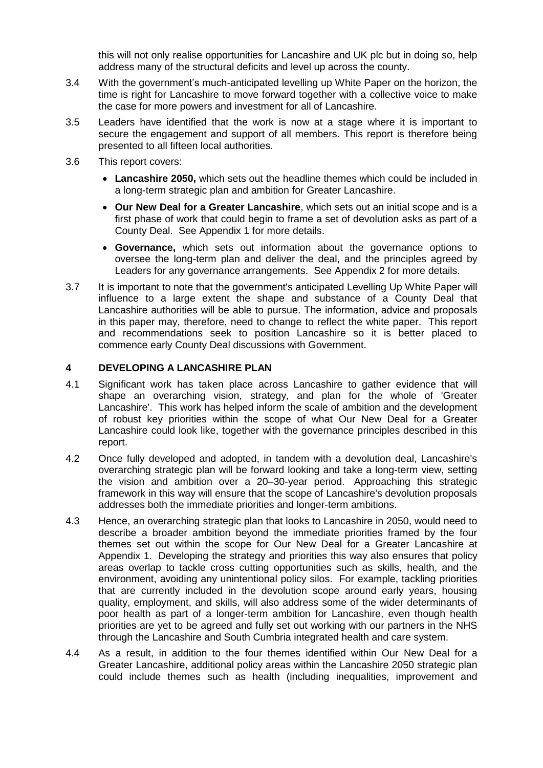this will not only realise opportunities for Lancashire and UK plc but in doing so, help address many of the structural deficits and level up across the county.

- 3.4 With the government's much-anticipated levelling up White Paper on the horizon, the time is right for Lancashire to move forward together with a collective voice to make the case for more powers and investment for all of Lancashire.
- 3.5 Leaders have identified that the work is now at a stage where it is important to secure the engagement and support of all members. This report is therefore being presented to all fifteen local authorities.
- 3.6 This report covers:
	- **Lancashire 2050,** which sets out the headline themes which could be included in a long-term strategic plan and ambition for Greater Lancashire.
	- **Our New Deal for a Greater Lancashire**, which sets out an initial scope and is a first phase of work that could begin to frame a set of devolution asks as part of a County Deal. See Appendix 1 for more details.
	- **Governance,** which sets out information about the governance options to oversee the long-term plan and deliver the deal, and the principles agreed by Leaders for any governance arrangements. See Appendix 2 for more details.
- 3.7 It is important to note that the government's anticipated Levelling Up White Paper will influence to a large extent the shape and substance of a County Deal that Lancashire authorities will be able to pursue. The information, advice and proposals in this paper may, therefore, need to change to reflect the white paper. This report and recommendations seek to position Lancashire so it is better placed to commence early County Deal discussions with Government.

# **4 DEVELOPING A LANCASHIRE PLAN**

- 4.1 Significant work has taken place across Lancashire to gather evidence that will shape an overarching vision, strategy, and plan for the whole of 'Greater Lancashire'. This work has helped inform the scale of ambition and the development of robust key priorities within the scope of what Our New Deal for a Greater Lancashire could look like, together with the governance principles described in this report.
- 4.2 Once fully developed and adopted, in tandem with a devolution deal, Lancashire's overarching strategic plan will be forward looking and take a long-term view, setting the vision and ambition over a 20–30-year period. Approaching this strategic framework in this way will ensure that the scope of Lancashire's devolution proposals addresses both the immediate priorities and longer-term ambitions.
- 4.3 Hence, an overarching strategic plan that looks to Lancashire in 2050, would need to describe a broader ambition beyond the immediate priorities framed by the four themes set out within the scope for Our New Deal for a Greater Lancashire at Appendix 1. Developing the strategy and priorities this way also ensures that policy areas overlap to tackle cross cutting opportunities such as skills, health, and the environment, avoiding any unintentional policy silos. For example, tackling priorities that are currently included in the devolution scope around early years, housing quality, employment, and skills, will also address some of the wider determinants of poor health as part of a longer-term ambition for Lancashire, even though health priorities are yet to be agreed and fully set out working with our partners in the NHS through the Lancashire and South Cumbria integrated health and care system.
- 4.4 As a result, in addition to the four themes identified within Our New Deal for a Greater Lancashire, additional policy areas within the Lancashire 2050 strategic plan could include themes such as health (including inequalities, improvement and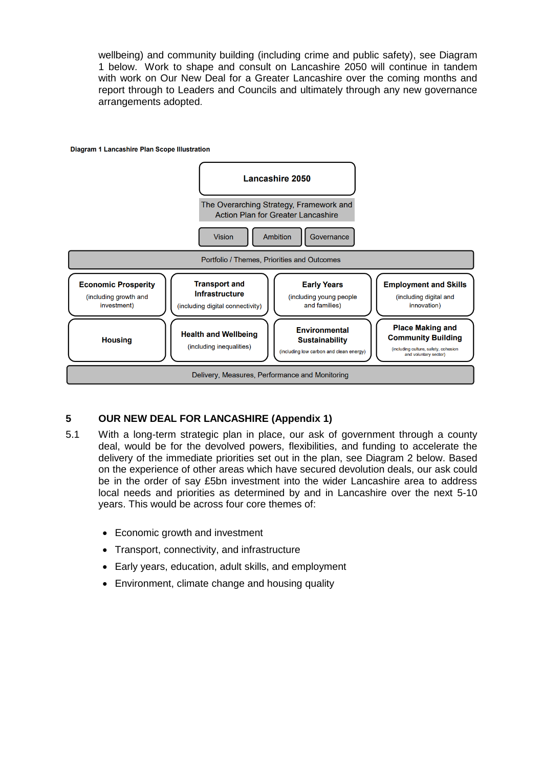wellbeing) and community building (including crime and public safety), see Diagram 1 below. Work to shape and consult on Lancashire 2050 will continue in tandem with work on Our New Deal for a Greater Lancashire over the coming months and report through to Leaders and Councils and ultimately through any new governance arrangements adopted.



# **5 OUR NEW DEAL FOR LANCASHIRE (Appendix 1)**

- 5.1 With a long-term strategic plan in place, our ask of government through a county deal, would be for the devolved powers, flexibilities, and funding to accelerate the delivery of the immediate priorities set out in the plan, see Diagram 2 below. Based on the experience of other areas which have secured devolution deals, our ask could be in the order of say £5bn investment into the wider Lancashire area to address local needs and priorities as determined by and in Lancashire over the next 5-10 years. This would be across four core themes of:
	- Economic growth and investment
	- Transport, connectivity, and infrastructure
	- Early years, education, adult skills, and employment
	- Environment, climate change and housing quality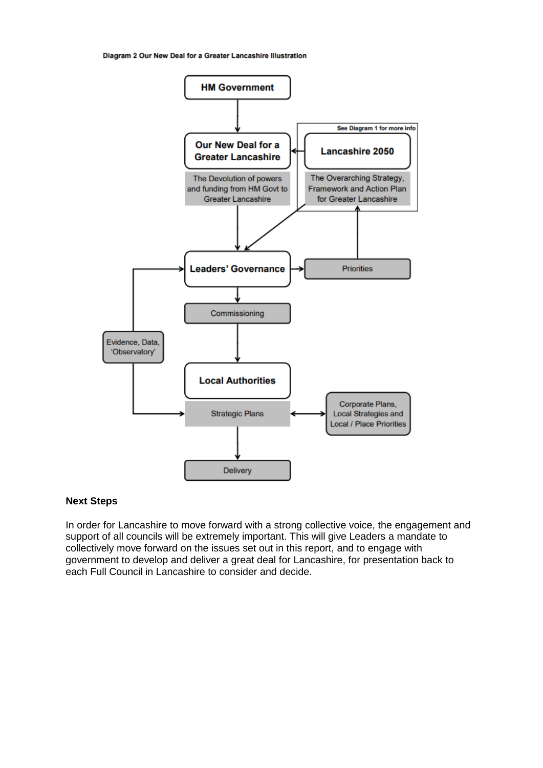Diagram 2 Our New Deal for a Greater Lancashire Illustration



#### **Next Steps**

In order for Lancashire to move forward with a strong collective voice, the engagement and support of all councils will be extremely important. This will give Leaders a mandate to collectively move forward on the issues set out in this report, and to engage with government to develop and deliver a great deal for Lancashire, for presentation back to each Full Council in Lancashire to consider and decide.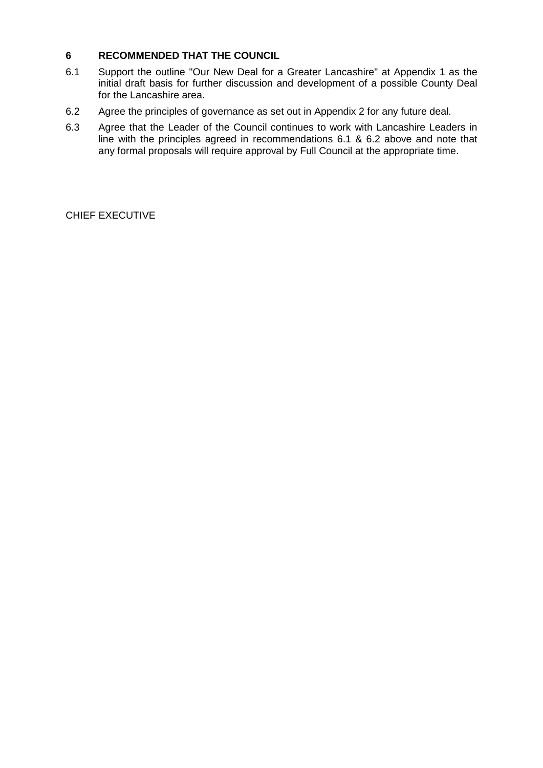# **6 RECOMMENDED THAT THE COUNCIL**

- 6.1 Support the outline "Our New Deal for a Greater Lancashire" at Appendix 1 as the initial draft basis for further discussion and development of a possible County Deal for the Lancashire area.
- 6.2 Agree the principles of governance as set out in Appendix 2 for any future deal.
- 6.3 Agree that the Leader of the Council continues to work with Lancashire Leaders in line with the principles agreed in recommendations 6.1 & 6.2 above and note that any formal proposals will require approval by Full Council at the appropriate time.

CHIEF EXECUTIVE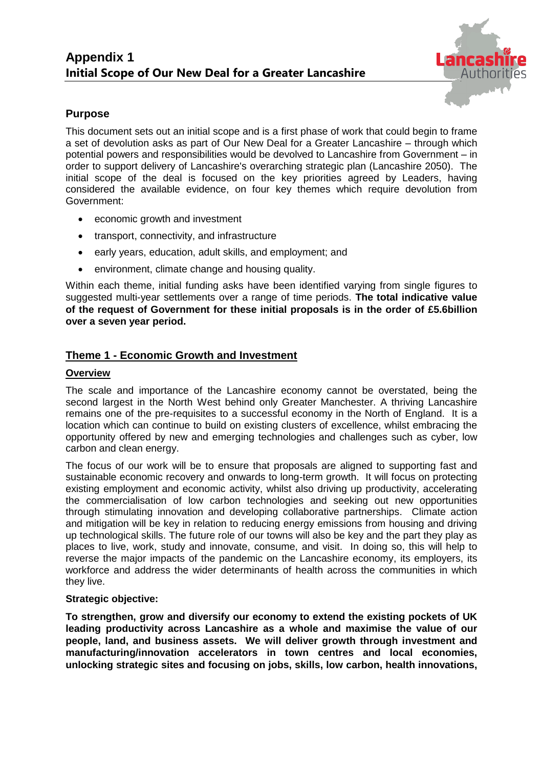

# **Purpose**

This document sets out an initial scope and is a first phase of work that could begin to frame a set of devolution asks as part of Our New Deal for a Greater Lancashire – through which potential powers and responsibilities would be devolved to Lancashire from Government – in order to support delivery of Lancashire's overarching strategic plan (Lancashire 2050). The initial scope of the deal is focused on the key priorities agreed by Leaders, having considered the available evidence, on four key themes which require devolution from Government:

- economic growth and investment
- transport, connectivity, and infrastructure
- early years, education, adult skills, and employment; and
- environment, climate change and housing quality.

Within each theme, initial funding asks have been identified varying from single figures to suggested multi-year settlements over a range of time periods. **The total indicative value of the request of Government for these initial proposals is in the order of £5.6billion over a seven year period.**

# **Theme 1 - Economic Growth and Investment**

# **Overview**

The scale and importance of the Lancashire economy cannot be overstated, being the second largest in the North West behind only Greater Manchester. A thriving Lancashire remains one of the pre-requisites to a successful economy in the North of England. It is a location which can continue to build on existing clusters of excellence, whilst embracing the opportunity offered by new and emerging technologies and challenges such as cyber, low carbon and clean energy.

The focus of our work will be to ensure that proposals are aligned to supporting fast and sustainable economic recovery and onwards to long-term growth. It will focus on protecting existing employment and economic activity, whilst also driving up productivity, accelerating the commercialisation of low carbon technologies and seeking out new opportunities through stimulating innovation and developing collaborative partnerships. Climate action and mitigation will be key in relation to reducing energy emissions from housing and driving up technological skills. The future role of our towns will also be key and the part they play as places to live, work, study and innovate, consume, and visit. In doing so, this will help to reverse the major impacts of the pandemic on the Lancashire economy, its employers, its workforce and address the wider determinants of health across the communities in which they live.

# **Strategic objective:**

**To strengthen, grow and diversify our economy to extend the existing pockets of UK leading productivity across Lancashire as a whole and maximise the value of our people, land, and business assets. We will deliver growth through investment and manufacturing/innovation accelerators in town centres and local economies, unlocking strategic sites and focusing on jobs, skills, low carbon, health innovations,**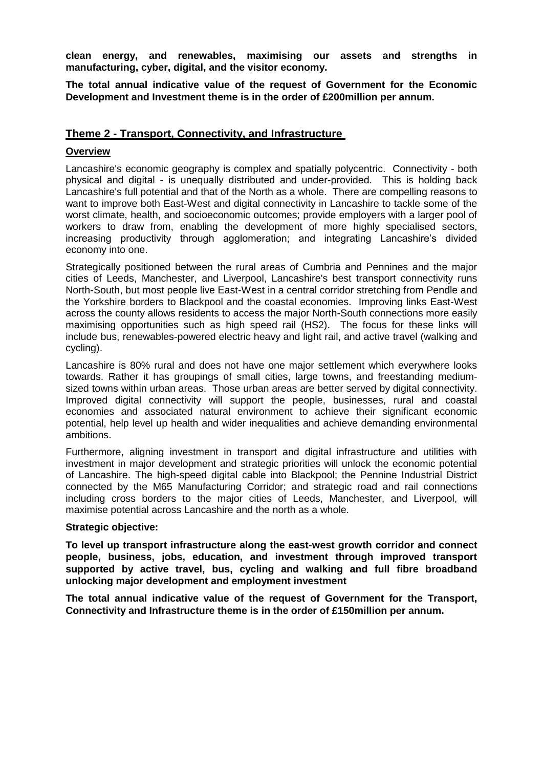**clean energy, and renewables, maximising our assets and strengths in manufacturing, cyber, digital, and the visitor economy.**

**The total annual indicative value of the request of Government for the Economic Development and Investment theme is in the order of £200million per annum.**

# **Theme 2 - Transport, Connectivity, and Infrastructure**

#### **Overview**

Lancashire's economic geography is complex and spatially polycentric. Connectivity - both physical and digital - is unequally distributed and under-provided. This is holding back Lancashire's full potential and that of the North as a whole. There are compelling reasons to want to improve both East-West and digital connectivity in Lancashire to tackle some of the worst climate, health, and socioeconomic outcomes; provide employers with a larger pool of workers to draw from, enabling the development of more highly specialised sectors, increasing productivity through agglomeration; and integrating Lancashire's divided economy into one.

Strategically positioned between the rural areas of Cumbria and Pennines and the major cities of Leeds, Manchester, and Liverpool, Lancashire's best transport connectivity runs North-South, but most people live East-West in a central corridor stretching from Pendle and the Yorkshire borders to Blackpool and the coastal economies. Improving links East-West across the county allows residents to access the major North-South connections more easily maximising opportunities such as high speed rail (HS2). The focus for these links will include bus, renewables-powered electric heavy and light rail, and active travel (walking and cycling).

Lancashire is 80% rural and does not have one major settlement which everywhere looks towards. Rather it has groupings of small cities, large towns, and freestanding mediumsized towns within urban areas. Those urban areas are better served by digital connectivity. Improved digital connectivity will support the people, businesses, rural and coastal economies and associated natural environment to achieve their significant economic potential, help level up health and wider inequalities and achieve demanding environmental ambitions.

Furthermore, aligning investment in transport and digital infrastructure and utilities with investment in major development and strategic priorities will unlock the economic potential of Lancashire. The high-speed digital cable into Blackpool; the Pennine Industrial District connected by the M65 Manufacturing Corridor; and strategic road and rail connections including cross borders to the major cities of Leeds, Manchester, and Liverpool, will maximise potential across Lancashire and the north as a whole.

#### **Strategic objective:**

**To level up transport infrastructure along the east-west growth corridor and connect people, business, jobs, education, and investment through improved transport supported by active travel, bus, cycling and walking and full fibre broadband unlocking major development and employment investment**

**The total annual indicative value of the request of Government for the Transport, Connectivity and Infrastructure theme is in the order of £150million per annum.**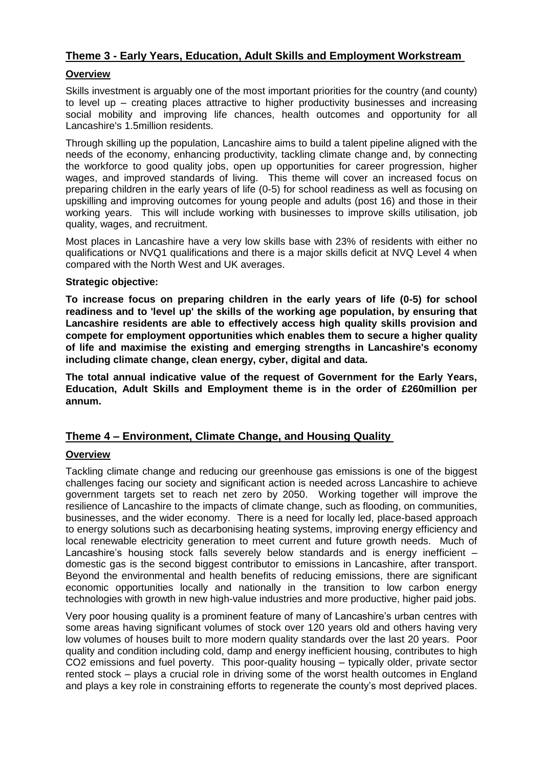# **Theme 3 - Early Years, Education, Adult Skills and Employment Workstream**

# **Overview**

Skills investment is arguably one of the most important priorities for the country (and county) to level up – creating places attractive to higher productivity businesses and increasing social mobility and improving life chances, health outcomes and opportunity for all Lancashire's 1.5million residents.

Through skilling up the population, Lancashire aims to build a talent pipeline aligned with the needs of the economy, enhancing productivity, tackling climate change and, by connecting the workforce to good quality jobs, open up opportunities for career progression, higher wages, and improved standards of living. This theme will cover an increased focus on preparing children in the early years of life (0-5) for school readiness as well as focusing on upskilling and improving outcomes for young people and adults (post 16) and those in their working years. This will include working with businesses to improve skills utilisation, job quality, wages, and recruitment.

Most places in Lancashire have a very low skills base with 23% of residents with either no qualifications or NVQ1 qualifications and there is a major skills deficit at NVQ Level 4 when compared with the North West and UK averages.

#### **Strategic objective:**

**To increase focus on preparing children in the early years of life (0-5) for school readiness and to 'level up' the skills of the working age population, by ensuring that Lancashire residents are able to effectively access high quality skills provision and compete for employment opportunities which enables them to secure a higher quality of life and maximise the existing and emerging strengths in Lancashire's economy including climate change, clean energy, cyber, digital and data.**

**The total annual indicative value of the request of Government for the Early Years, Education, Adult Skills and Employment theme is in the order of £260million per annum.**

# **Theme 4 – Environment, Climate Change, and Housing Quality**

# **Overview**

Tackling climate change and reducing our greenhouse gas emissions is one of the biggest challenges facing our society and significant action is needed across Lancashire to achieve government targets set to reach net zero by 2050. Working together will improve the resilience of Lancashire to the impacts of climate change, such as flooding, on communities, businesses, and the wider economy. There is a need for locally led, place-based approach to energy solutions such as decarbonising heating systems, improving energy efficiency and local renewable electricity generation to meet current and future growth needs. Much of Lancashire's housing stock falls severely below standards and is energy inefficient – domestic gas is the second biggest contributor to emissions in Lancashire, after transport. Beyond the environmental and health benefits of reducing emissions, there are significant economic opportunities locally and nationally in the transition to low carbon energy technologies with growth in new high-value industries and more productive, higher paid jobs.

Very poor housing quality is a prominent feature of many of Lancashire's urban centres with some areas having significant volumes of stock over 120 years old and others having very low volumes of houses built to more modern quality standards over the last 20 years. Poor quality and condition including cold, damp and energy inefficient housing, contributes to high CO2 emissions and fuel poverty. This poor-quality housing – typically older, private sector rented stock – plays a crucial role in driving some of the worst health outcomes in England and plays a key role in constraining efforts to regenerate the county's most deprived places.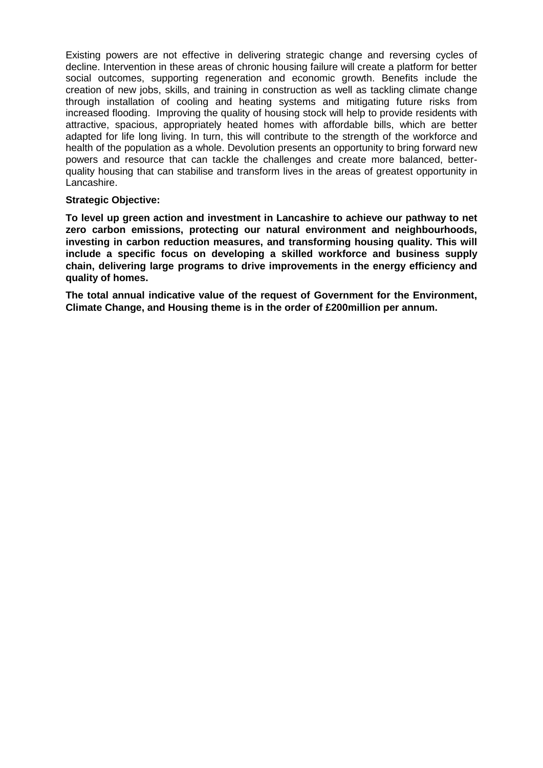Existing powers are not effective in delivering strategic change and reversing cycles of decline. Intervention in these areas of chronic housing failure will create a platform for better social outcomes, supporting regeneration and economic growth. Benefits include the creation of new jobs, skills, and training in construction as well as tackling climate change through installation of cooling and heating systems and mitigating future risks from increased flooding. Improving the quality of housing stock will help to provide residents with attractive, spacious, appropriately heated homes with affordable bills, which are better adapted for life long living. In turn, this will contribute to the strength of the workforce and health of the population as a whole. Devolution presents an opportunity to bring forward new powers and resource that can tackle the challenges and create more balanced, betterquality housing that can stabilise and transform lives in the areas of greatest opportunity in Lancashire.

# **Strategic Objective:**

**To level up green action and investment in Lancashire to achieve our pathway to net zero carbon emissions, protecting our natural environment and neighbourhoods, investing in carbon reduction measures, and transforming housing quality. This will include a specific focus on developing a skilled workforce and business supply chain, delivering large programs to drive improvements in the energy efficiency and quality of homes.** 

**The total annual indicative value of the request of Government for the Environment, Climate Change, and Housing theme is in the order of £200million per annum.**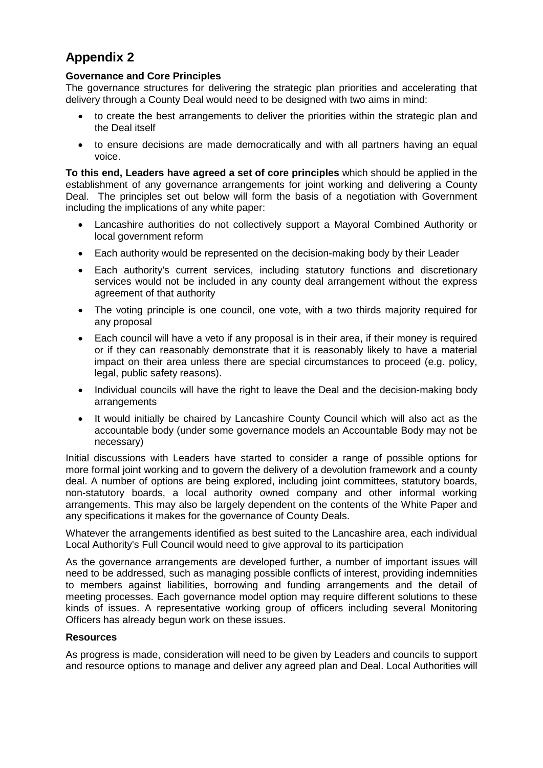# **Appendix 2**

# **Governance and Core Principles**

The governance structures for delivering the strategic plan priorities and accelerating that delivery through a County Deal would need to be designed with two aims in mind:

- to create the best arrangements to deliver the priorities within the strategic plan and the Deal itself
- to ensure decisions are made democratically and with all partners having an equal voice.

**To this end, Leaders have agreed a set of core principles** which should be applied in the establishment of any governance arrangements for joint working and delivering a County Deal. The principles set out below will form the basis of a negotiation with Government including the implications of any white paper:

- Lancashire authorities do not collectively support a Mayoral Combined Authority or local government reform
- Each authority would be represented on the decision-making body by their Leader
- Each authority's current services, including statutory functions and discretionary services would not be included in any county deal arrangement without the express agreement of that authority
- The voting principle is one council, one vote, with a two thirds majority required for any proposal
- Each council will have a veto if any proposal is in their area, if their money is required or if they can reasonably demonstrate that it is reasonably likely to have a material impact on their area unless there are special circumstances to proceed (e.g. policy, legal, public safety reasons).
- Individual councils will have the right to leave the Deal and the decision-making body arrangements
- It would initially be chaired by Lancashire County Council which will also act as the accountable body (under some governance models an Accountable Body may not be necessary)

Initial discussions with Leaders have started to consider a range of possible options for more formal joint working and to govern the delivery of a devolution framework and a county deal. A number of options are being explored, including joint committees, statutory boards, non-statutory boards, a local authority owned company and other informal working arrangements. This may also be largely dependent on the contents of the White Paper and any specifications it makes for the governance of County Deals.

Whatever the arrangements identified as best suited to the Lancashire area, each individual Local Authority's Full Council would need to give approval to its participation

As the governance arrangements are developed further, a number of important issues will need to be addressed, such as managing possible conflicts of interest, providing indemnities to members against liabilities, borrowing and funding arrangements and the detail of meeting processes. Each governance model option may require different solutions to these kinds of issues. A representative working group of officers including several Monitoring Officers has already begun work on these issues.

# **Resources**

As progress is made, consideration will need to be given by Leaders and councils to support and resource options to manage and deliver any agreed plan and Deal. Local Authorities will